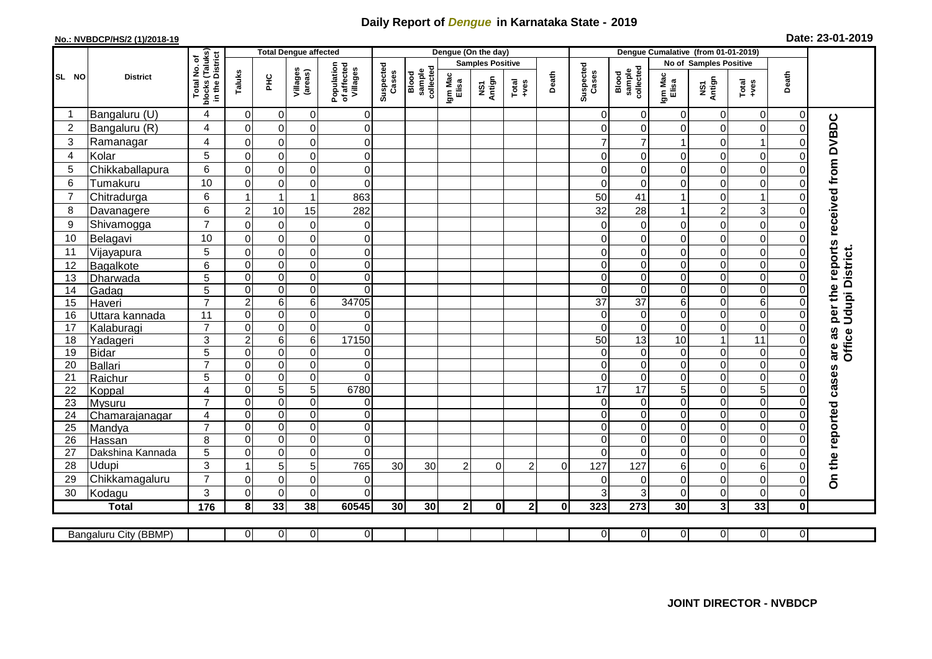## **Daily Report of** *Dengue* **in Karnataka State - 2019**

## **No.: NVBDCP/HS/2 (1)/2018-19**

|  |  | Date: 23-01-2019 |
|--|--|------------------|
|--|--|------------------|

|                |                       |                                                              |                             | <b>Total Dengue affected</b>    |                            |                                       |                    |                              |                  | Dengue (On the day)     |                |          | Dengue Cumalative (from 01-01-2019) |                              |                      |                               |                         |                |                                     |                        |
|----------------|-----------------------|--------------------------------------------------------------|-----------------------------|---------------------------------|----------------------------|---------------------------------------|--------------------|------------------------------|------------------|-------------------------|----------------|----------|-------------------------------------|------------------------------|----------------------|-------------------------------|-------------------------|----------------|-------------------------------------|------------------------|
|                | <b>District</b>       | ՟Ծ                                                           |                             |                                 |                            |                                       |                    |                              |                  | <b>Samples Positive</b> |                |          |                                     |                              |                      | <b>No of Samples Positive</b> |                         |                |                                     |                        |
| SL NO          |                       | (Taluks)<br>District<br>Total No.<br><b>blocks</b><br>in the | Taluks                      | ᆂ                               | Villages<br>(areas)        | Population<br>of affected<br>Villages | Suspected<br>Cases | sample<br>collected<br>Blood | Igm Mac<br>Elisa | NS1<br>Antign           | Total<br>+ves  | Death    | Suspected<br>Cases                  | sample<br>collected<br>Blood | Igm Mac<br>Elisa     | NS1<br>Antign                 | Total<br>+ves           | Death          |                                     |                        |
|                | Bangaluru (U)         | $\overline{4}$                                               | 0                           | $\mathbf 0$                     | $\pmb{0}$                  | $\mathbf 0$                           |                    |                              |                  |                         |                |          | $\Omega$                            | 0                            | 0                    | 0                             | $\overline{0}$          | 0              |                                     |                        |
| $\overline{c}$ | Bangaluru (R)         | 4                                                            | $\mathbf 0$                 | $\pmb{0}$                       | $\mathsf 0$                | $\overline{0}$                        |                    |                              |                  |                         |                |          | $\Omega$                            | 0                            | 0                    | $\pmb{0}$                     | $\pmb{0}$               | $\Omega$       |                                     |                        |
| 3              | Ramanagar             | 4                                                            | $\Omega$                    | $\mathbf 0$                     | $\mathbf 0$                | $\mathbf 0$                           |                    |                              |                  |                         |                |          | 7                                   | 7                            |                      | $\mathbf 0$                   | 1                       |                | per the reports received from DVBDC |                        |
| $\overline{4}$ | Kolar                 | 5                                                            | $\Omega$                    | $\mathbf 0$                     | $\mathbf 0$                | $\mathbf 0$                           |                    |                              |                  |                         |                |          | $\Omega$                            | $\Omega$                     | $\Omega$             | $\mathbf 0$                   | $\mathbf 0$             |                |                                     |                        |
| 5              | Chikkaballapura       | 6                                                            | $\mathbf 0$                 | $\pmb{0}$                       | $\mathsf 0$                | $\mathbf 0$                           |                    |                              |                  |                         |                |          | $\Omega$                            | 0                            | 0                    | $\mathbf 0$                   | $\mathbf 0$             |                |                                     |                        |
| 6              | Tumakuru              | 10                                                           | $\mathbf 0$                 | $\pmb{0}$                       | $\mathsf 0$                | $\mathbf 0$                           |                    |                              |                  |                         |                |          | $\Omega$                            | $\mathbf 0$                  | $\Omega$             | $\mathbf 0$                   | $\mathbf 0$             | O              |                                     |                        |
| $\overline{7}$ | Chitradurga           | 6                                                            |                             | $\overline{1}$                  | 1                          | 863                                   |                    |                              |                  |                         |                |          | 50                                  | 41                           |                      | $\pmb{0}$                     | $\overline{\mathbf{1}}$ |                |                                     |                        |
| 8              | Davanagere            | 6                                                            | $\overline{2}$              | 10                              | 15                         | 282                                   |                    |                              |                  |                         |                |          | 32                                  | 28                           |                      | $\overline{c}$                | 3                       |                |                                     |                        |
| 9              | Shivamogga            | $\overline{7}$                                               | $\Omega$                    | $\mathbf 0$                     | $\boldsymbol{0}$           | $\mathbf 0$                           |                    |                              |                  |                         |                |          | 0                                   | 0                            | 0                    | $\mathbf 0$                   | $\pmb{0}$               |                |                                     |                        |
| 10             | Belagavi              | 10                                                           | 0                           | 0                               | $\mathsf 0$                | $\mathbf 0$                           |                    |                              |                  |                         |                |          | 0                                   | $\mathbf 0$                  | 0                    | $\mathbf 0$                   | $\mathbf 0$             |                |                                     |                        |
| 11             | Vijayapura            | 5                                                            | $\mathbf 0$                 | $\mathbf 0$                     | $\mathbf 0$                | $\mathbf 0$                           |                    |                              |                  |                         |                |          | $\Omega$                            | $\mathbf 0$                  | $\Omega$             | $\mathbf 0$                   | $\mathbf 0$             |                |                                     |                        |
| 12             | Bagalkote             | 6                                                            | $\mathbf 0$                 | $\boldsymbol{0}$                | $\overline{0}$             | $\pmb{0}$                             |                    |                              |                  |                         |                |          | $\Omega$                            | $\mathbf 0$                  | 0                    | $\boldsymbol{0}$              | $\mathbf 0$             |                |                                     | Office Udupi District. |
| 13             | Dharwada              | $\overline{5}$                                               | $\mathbf 0$                 | $\boldsymbol{0}$                | $\overline{0}$             | $\mathbf 0$                           |                    |                              |                  |                         |                |          | $\Omega$                            | $\pmb{0}$                    | 0                    | $\boldsymbol{0}$              | $\overline{0}$          | $\Omega$       |                                     |                        |
| 14             | Gadag                 | 5                                                            | $\mathbf 0$                 | $\boldsymbol{0}$                | $\overline{0}$             | 0                                     |                    |                              |                  |                         |                |          | $\Omega$                            | $\pmb{0}$                    | 0                    | $\boldsymbol{0}$              | $\overline{0}$          | ∩              |                                     |                        |
| 15             | Haveri                | $\overline{7}$                                               | $\overline{c}$              | $\,6\,$                         | $\overline{6}$             | 34705                                 |                    |                              |                  |                         |                |          | 37                                  | $\overline{37}$              | 6                    | $\boldsymbol{0}$              | $\overline{6}$          |                |                                     |                        |
| 16             | Uttara kannada        | 11                                                           | 0                           | 0                               | 0                          | 0                                     |                    |                              |                  |                         |                |          | $\Omega$                            | $\mathbf 0$                  | 0                    | $\pmb{0}$                     | $\pmb{0}$               | ∩              |                                     |                        |
| 17             | Kalaburagi            | $\overline{7}$                                               | $\Omega$                    | $\mathbf 0$                     | $\mathsf 0$                | $\Omega$                              |                    |                              |                  |                         |                |          | $\Omega$                            | $\mathbf 0$                  | 0                    | $\mathbf 0$                   | $\mathbf 0$             |                |                                     |                        |
| 18             | Yadageri              | 3                                                            | $\overline{2}$              | $\,6$                           | 6                          | 17150                                 |                    |                              |                  |                         |                |          | 50                                  | 13                           | 10                   | 1                             | 11                      |                |                                     |                        |
| 19             | <b>Bidar</b>          | $\overline{5}$                                               | $\Omega$                    | $\pmb{0}$                       | $\overline{0}$             | 0                                     |                    |                              |                  |                         |                |          | $\Omega$                            | $\mathbf 0$                  | 0                    | $\overline{0}$                | $\overline{0}$          | $\Omega$       | are as                              |                        |
| 20             | Ballari               | $\overline{7}$                                               | $\mathbf 0$                 | $\pmb{0}$                       | $\overline{0}$             | $\overline{\mathsf{o}}$               |                    |                              |                  |                         |                |          | $\Omega$                            | $\mathbf 0$                  | 0                    | $\overline{0}$                | $\overline{0}$          | $\Omega$       |                                     |                        |
| 21             | Raichur               | 5                                                            | $\Omega$                    | $\pmb{0}$                       | $\mathsf 0$                | $\mathbf 0$                           |                    |                              |                  |                         |                |          | $\Omega$                            | $\mathbf 0$                  | 0                    | $\boldsymbol{0}$              | $\mathbf 0$             | ∩              |                                     |                        |
| 22             | Koppal                | $\overline{4}$                                               | $\Omega$                    | $\overline{5}$                  | $\overline{5}$             | 6780                                  |                    |                              |                  |                         |                |          | 17                                  | 17                           | $\overline{5}$       | $\mathbf 0$                   | $\overline{5}$          |                |                                     |                        |
| 23             | Mysuru                | $\overline{7}$                                               | $\mathbf 0$                 | $\boldsymbol{0}$                | $\mathsf 0$                | $\mathbf 0$                           |                    |                              |                  |                         |                |          | $\Omega$                            | $\mathbf 0$                  | 0                    | $\boldsymbol{0}$              | $\overline{0}$          | $\Omega$       |                                     |                        |
| 24             | Chamarajanagar        | $\overline{4}$                                               | $\mathbf 0$                 | $\Omega$                        | $\mathsf 0$                | $\mathbf 0$                           |                    |                              |                  |                         |                |          | $\Omega$                            | $\mathbf 0$                  | 0                    | $\pmb{0}$                     | $\overline{0}$          |                |                                     |                        |
| 25             | Mandya                | $\overline{7}$                                               | $\mathbf 0$                 | 0                               | $\mathsf 0$                | $\mathbf 0$                           |                    |                              |                  |                         |                |          | $\Omega$<br>$\Omega$                | 0                            | 0                    | $\pmb{0}$                     | 0                       | 0              |                                     |                        |
| 26             | Hassan                | 8                                                            | $\Omega$<br>$\Omega$        | $\mathbf 0$                     | $\mathbf 0$<br>$\mathbf 0$ | $\Omega$<br>$\Omega$                  |                    |                              |                  |                         |                |          | $\Omega$                            | 0<br>$\Omega$                | $\Omega$<br>$\Omega$ | $\mathbf 0$                   | $\Omega$                |                |                                     |                        |
| 27             | Dakshina Kannada      | 5                                                            |                             | $\mathbf 0$                     |                            |                                       |                    |                              |                  |                         |                |          |                                     |                              |                      | $\mathbf 0$                   | $\mathbf 0$             |                |                                     |                        |
| 28<br>29       | Udupi                 | 3<br>$\overline{7}$                                          |                             | 5                               | 5<br>$\mathbf 0$           | 765                                   | 30                 | 30                           | $\overline{2}$   | $\Omega$                | $\overline{2}$ | $\Omega$ | 127<br>$\Omega$                     | 127                          | 6                    | $\mathbf 0$<br>$\mathbf 0$    | 6                       |                | On the reported cases               |                        |
|                | Chikkamagaluru        | 3                                                            | $\mathbf 0$<br>$\mathbf{0}$ | $\boldsymbol{0}$<br>$\mathbf 0$ | $\mathbf 0$                | 0<br>$\mathbf 0$                      |                    |                              |                  |                         |                |          | 3                                   | 0<br>3                       | 0<br>$\Omega$        | $\mathbf 0$                   | $\pmb{0}$<br>$\pmb{0}$  |                |                                     |                        |
| 30             | Kodagu                |                                                              |                             |                                 |                            |                                       |                    |                              |                  |                         |                |          |                                     |                              |                      |                               |                         | 0              |                                     |                        |
|                | <b>Total</b>          | $\frac{1}{176}$                                              | 8                           | 33                              | 38                         | 60545                                 | 30 <sub>1</sub>    | 30 <sub>l</sub>              | $\mathbf{2}$     | $\mathbf{0}$            | 2 <sub>l</sub> | 0        | 323                                 | 273                          | 30                   | 3 <sup>1</sup>                | 33                      | 0l             |                                     |                        |
|                | Bangaluru City (BBMP) |                                                              | $\overline{0}$              | $\overline{0}$                  | $\overline{0}$             | $\overline{O}$                        |                    |                              |                  |                         |                |          | $\overline{0}$                      | $\overline{0}$               | 0                    | $\Omega$                      | $\overline{0}$          | $\overline{0}$ |                                     |                        |